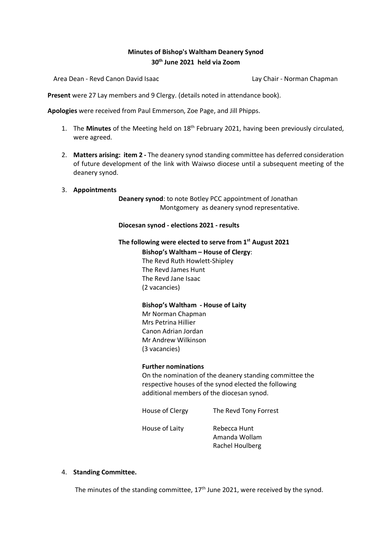# **Minutes of Bishop's Waltham Deanery Synod 30th June 2021 held via Zoom**

Area Dean - Revd Canon David Isaac Lay Chair - Norman Chapman

**Present** were 27 Lay members and 9 Clergy. (details noted in attendance book).

**Apologies** were received from Paul Emmerson, Zoe Page, and Jill Phipps.

- 1. The **Minutes** of the Meeting held on 18th February 2021, having been previously circulated, were agreed.
- 2. **Matters arising: item 2 -** The deanery synod standing committee has deferred consideration of future development of the link with Waiwso diocese until a subsequent meeting of the deanery synod.
- 3. **Appointments**

**Deanery synod**: to note Botley PCC appointment of Jonathan Montgomery as deanery synod representative.

#### **Diocesan synod - elections 2021 - results**

### **The following were elected to serve from 1st August 2021**

**Bishop's Waltham – House of Clergy**: The Revd Ruth Howlett-Shipley The Revd James Hunt The Revd Jane Isaac (2 vacancies)

#### **Bishop's Waltham - House of Laity**

Mr Norman Chapman Mrs Petrina Hillier Canon Adrian Jordan Mr Andrew Wilkinson (3 vacancies)

#### **Further nominations**

On the nomination of the deanery standing committee the respective houses of the synod elected the following additional members of the diocesan synod.

House of Clergy The Revd Tony Forrest

House of Laity Rebecca Hunt

Amanda Wollam Rachel Houlberg

#### 4. **Standing Committee.**

The minutes of the standing committee,  $17<sup>th</sup>$  June 2021, were received by the synod.